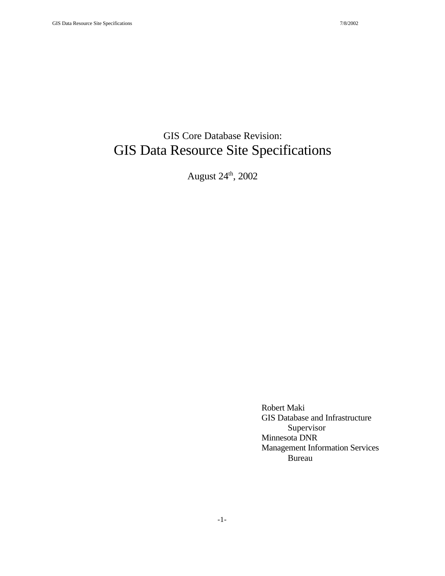## GIS Core Database Revision: GIS Data Resource Site Specifications

August 24th, 2002

Robert Maki GIS Database and Infrastructure Supervisor Minnesota DNR Management Information Services Bureau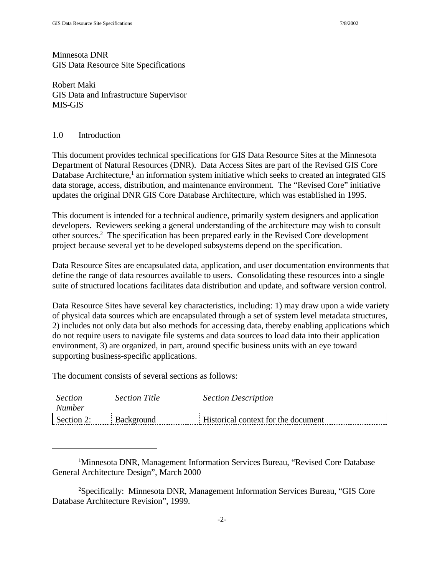Minnesota DNR GIS Data Resource Site Specifications

Robert Maki GIS Data and Infrastructure Supervisor MIS-GIS

#### 1.0 Introduction

This document provides technical specifications for GIS Data Resource Sites at the Minnesota Department of Natural Resources (DNR). Data Access Sites are part of the Revised GIS Core Database Architecture,<sup>1</sup> an information system initiative which seeks to created an integrated GIS data storage, access, distribution, and maintenance environment. The "Revised Core" initiative updates the original DNR GIS Core Database Architecture, which was established in 1995.

This document is intended for a technical audience, primarily system designers and application developers. Reviewers seeking a general understanding of the architecture may wish to consult other sources.<sup>2</sup> The specification has been prepared early in the Revised Core development project because several yet to be developed subsystems depend on the specification.

Data Resource Sites are encapsulated data, application, and user documentation environments that define the range of data resources available to users. Consolidating these resources into a single suite of structured locations facilitates data distribution and update, and software version control.

Data Resource Sites have several key characteristics, including: 1) may draw upon a wide variety of physical data sources which are encapsulated through a set of system level metadata structures, 2) includes not only data but also methods for accessing data, thereby enabling applications which do not require users to navigate file systems and data sources to load data into their application environment, 3) are organized, in part, around specific business units with an eye toward supporting business-specific applications.

The document consists of several sections as follows:

| <i>Section</i><br><i>Number</i> | <b>Section Title</b> | <b>Section Description</b>          |
|---------------------------------|----------------------|-------------------------------------|
| Section 2:                      | Background           | Historical context for the document |

<sup>1</sup>Minnesota DNR, Management Information Services Bureau, "Revised Core Database General Architecture Design", March 2000

<sup>2</sup>Specifically: Minnesota DNR, Management Information Services Bureau, "GIS Core Database Architecture Revision", 1999.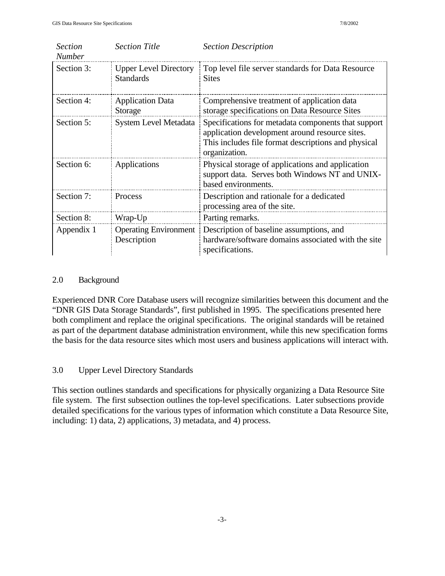| <b>Section</b><br><b>Number</b> | <b>Section Title</b>                             | <b>Section Description</b>                                                                                                                                                    |
|---------------------------------|--------------------------------------------------|-------------------------------------------------------------------------------------------------------------------------------------------------------------------------------|
| Section 3:                      | <b>Upper Level Directory</b><br><b>Standards</b> | Top level file server standards for Data Resource<br><b>Sites</b>                                                                                                             |
| Section 4:                      | <b>Application Data</b><br>Storage               | Comprehensive treatment of application data<br>storage specifications on Data Resource Sites                                                                                  |
| Section 5:                      | System Level Metadata                            | Specifications for metadata components that support<br>application development around resource sites.<br>This includes file format descriptions and physical<br>organization. |
| Section 6:                      | Applications                                     | Physical storage of applications and application<br>support data. Serves both Windows NT and UNIX-<br>based environments.                                                     |
| Section 7:                      | Process                                          | Description and rationale for a dedicated<br>processing area of the site.                                                                                                     |
| Section 8:                      | Wrap-Up                                          | Parting remarks.                                                                                                                                                              |
| Appendix 1                      | <b>Operating Environment</b><br>Description      | Description of baseline assumptions, and<br>hardware/software domains associated with the site<br>specifications.                                                             |

#### 2.0 Background

Experienced DNR Core Database users will recognize similarities between this document and the "DNR GIS Data Storage Standards", first published in 1995. The specifications presented here both compliment and replace the original specifications. The original standards will be retained as part of the department database administration environment, while this new specification forms the basis for the data resource sites which most users and business applications will interact with.

#### 3.0 Upper Level Directory Standards

This section outlines standards and specifications for physically organizing a Data Resource Site file system. The first subsection outlines the top-level specifications. Later subsections provide detailed specifications for the various types of information which constitute a Data Resource Site, including: 1) data, 2) applications, 3) metadata, and 4) process.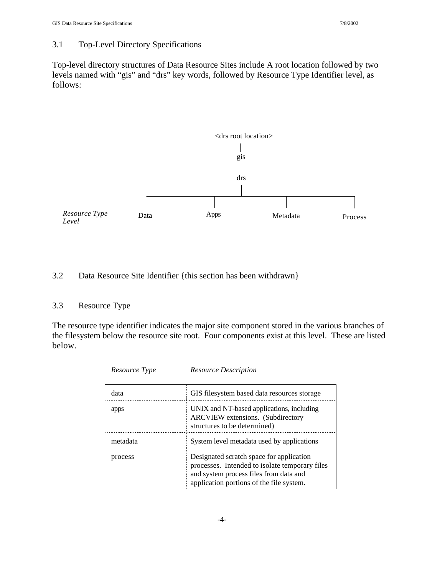#### 3.1 Top-Level Directory Specifications

Top-level directory structures of Data Resource Sites include A root location followed by two levels named with "gis" and "drs" key words, followed by Resource Type Identifier level, as follows:



#### 3.2 Data Resource Site Identifier {this section has been withdrawn}

#### 3.3 Resource Type

The resource type identifier indicates the major site component stored in the various branches of the filesystem below the resource site root. Four components exist at this level. These are listed below.

| data     | GIS filesystem based data resources storage                                                                                                                                      |
|----------|----------------------------------------------------------------------------------------------------------------------------------------------------------------------------------|
| apps     | UNIX and NT-based applications, including<br>ARCVIEW extensions. (Subdirectory<br>structures to be determined)                                                                   |
| metadata | System level metadata used by applications                                                                                                                                       |
| process  | Designated scratch space for application<br>processes. Intended to isolate temporary files<br>and system process files from data and<br>application portions of the file system. |

*Resource Type Resource Description*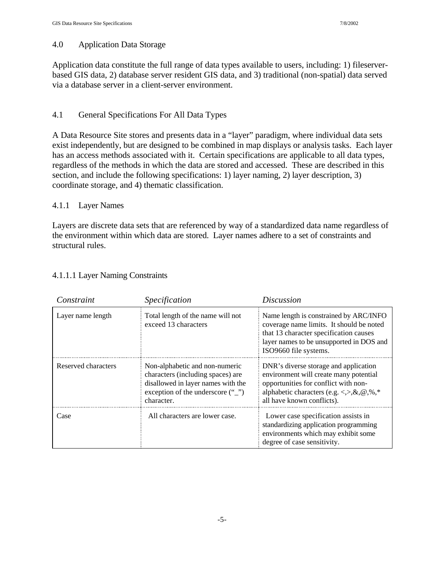#### 4.0 Application Data Storage

Application data constitute the full range of data types available to users, including: 1) fileserverbased GIS data, 2) database server resident GIS data, and 3) traditional (non-spatial) data served via a database server in a client-server environment.

#### 4.1 General Specifications For All Data Types

A Data Resource Site stores and presents data in a "layer" paradigm, where individual data sets exist independently, but are designed to be combined in map displays or analysis tasks. Each layer has an access methods associated with it. Certain specifications are applicable to all data types, regardless of the methods in which the data are stored and accessed. These are described in this section, and include the following specifications: 1) layer naming, 2) layer description, 3) coordinate storage, and 4) thematic classification.

#### 4.1.1 Layer Names

Layers are discrete data sets that are referenced by way of a standardized data name regardless of the environment within which data are stored. Layer names adhere to a set of constraints and structural rules.

| Constraint          | Specification                                                                                                                                                                 | <b>Discussion</b>                                                                                                                                                                                              |  |
|---------------------|-------------------------------------------------------------------------------------------------------------------------------------------------------------------------------|----------------------------------------------------------------------------------------------------------------------------------------------------------------------------------------------------------------|--|
| Layer name length   | Total length of the name will not<br>exceed 13 characters                                                                                                                     | Name length is constrained by ARC/INFO<br>coverage name limits. It should be noted<br>that 13 character specification causes<br>layer names to be unsupported in DOS and<br>ISO9660 file systems.              |  |
| Reserved characters | Non-alphabetic and non-numeric<br>characters (including spaces) are<br>disallowed in layer names with the<br>exception of the underscore $(\cdot \cdot \cdot)'$<br>character. | DNR's diverse storage and application<br>environment will create many potential<br>opportunities for conflict with non-<br>alphabetic characters (e.g. <,>, $\&$ , $@$ , $\%$ ,*<br>all have known conflicts). |  |
| Case                | All characters are lower case.                                                                                                                                                | Lower case specification assists in<br>standardizing application programming<br>environments which may exhibit some<br>degree of case sensitivity.                                                             |  |

#### 4.1.1.1 Layer Naming Constraints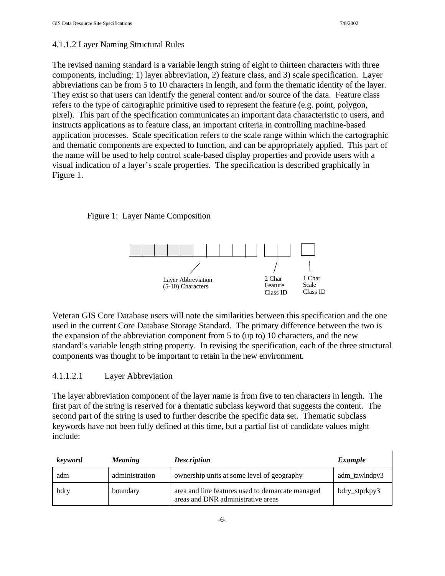$\mathbf{I}$ 

#### 4.1.1.2 Layer Naming Structural Rules

The revised naming standard is a variable length string of eight to thirteen characters with three components, including: 1) layer abbreviation, 2) feature class, and 3) scale specification. Layer abbreviations can be from 5 to 10 characters in length, and form the thematic identity of the layer. They exist so that users can identify the general content and/or source of the data. Feature class refers to the type of cartographic primitive used to represent the feature (e.g. point, polygon, pixel). This part of the specification communicates an important data characteristic to users, and instructs applications as to feature class, an important criteria in controlling machine-based application processes. Scale specification refers to the scale range within which the cartographic and thematic components are expected to function, and can be appropriately applied. This part of the name will be used to help control scale-based display properties and provide users with a visual indication of a layer's scale properties. The specification is described graphically in Figure 1.

#### Figure 1: Layer Name Composition



Veteran GIS Core Database users will note the similarities between this specification and the one used in the current Core Database Storage Standard. The primary difference between the two is the expansion of the abbreviation component from 5 to (up to) 10 characters, and the new standard's variable length string property. In revising the specification, each of the three structural components was thought to be important to retain in the new environment.

#### 4.1.1.2.1 Layer Abbreviation

The layer abbreviation component of the layer name is from five to ten characters in length. The first part of the string is reserved for a thematic subclass keyword that suggests the content. The second part of the string is used to further describe the specific data set. Thematic subclass keywords have not been fully defined at this time, but a partial list of candidate values might include:

| <i>keyword</i> | <i>Meaning</i> | <b>Description</b>                                                                     | Example       |
|----------------|----------------|----------------------------------------------------------------------------------------|---------------|
| adm            | administration | ownership units at some level of geography                                             | adm_tawlndpy3 |
| bdry           | boundary       | area and line features used to demarcate managed<br>areas and DNR administrative areas | bdry_stprkpy3 |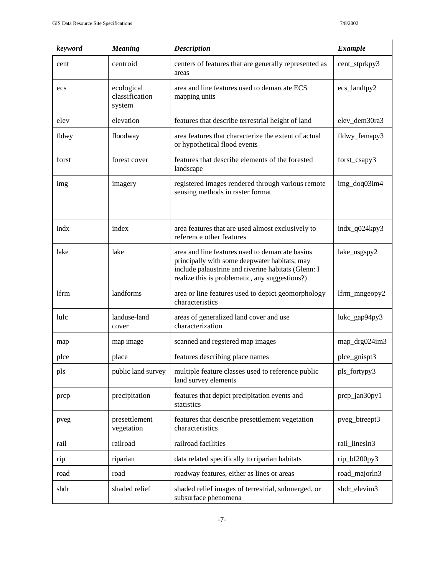| keyword | <b>Meaning</b>                         | <b>Description</b>                                                                                                                                                                                        | <b>Example</b> |
|---------|----------------------------------------|-----------------------------------------------------------------------------------------------------------------------------------------------------------------------------------------------------------|----------------|
| cent    | centroid                               | centers of features that are generally represented as<br>areas                                                                                                                                            | cent_stprkpy3  |
| ecs     | ecological<br>classification<br>system | area and line features used to demarcate ECS<br>mapping units                                                                                                                                             | ecs_landtpy2   |
| elev    | elevation                              | features that describe terrestrial height of land                                                                                                                                                         | elev_dem30ra3  |
| fldwy   | floodway                               | area features that characterize the extent of actual<br>or hypothetical flood events                                                                                                                      | fldwy_femapy3  |
| forst   | forest cover                           | features that describe elements of the forested<br>landscape                                                                                                                                              | forst_csapy3   |
| img     | imagery                                | registered images rendered through various remote<br>sensing methods in raster format                                                                                                                     | img_doq03im4   |
| indx    | index                                  | area features that are used almost exclusively to<br>reference other features                                                                                                                             | indx_q024kpy3  |
| lake    | lake                                   | area and line features used to demarcate basins<br>principally with some deepwater habitats; may<br>include palaustrine and riverine habitats (Glenn: I<br>realize this is problematic, any suggestions?) | lake_usgspy2   |
| lfrm    | landforms                              | area or line features used to depict geomorphology<br>characteristics                                                                                                                                     | lfrm_mngeopy2  |
| lulc    | landuse-land<br>cover                  | areas of generalized land cover and use<br>characterization                                                                                                                                               | lukc_gap94py3  |
| map     | map image                              | scanned and regstered map images                                                                                                                                                                          | map_drg024im3  |
| plce    | place                                  | features describing place names                                                                                                                                                                           | plce_gnispt3   |
| pls     | public land survey                     | multiple feature classes used to reference public<br>land survey elements                                                                                                                                 | pls_fortypy3   |
| prcp    | precipitation                          | features that depict precipitation events and<br>statistics                                                                                                                                               | prcp_jan30py1  |
| pveg    | presettlement<br>vegetation            | features that describe presettlement vegetation<br>characteristics                                                                                                                                        | pveg_btreept3  |
| rail    | railroad                               | railroad facilities                                                                                                                                                                                       | rail_linesln3  |
| rip     | riparian                               | data related specifically to riparian habitats                                                                                                                                                            | rip_bf200py3   |
| road    | road                                   | roadway features, either as lines or areas                                                                                                                                                                | road_majorln3  |
| shdr    | shaded relief                          | shaded relief images of terrestrial, submerged, or<br>subsurface phenomena                                                                                                                                | shdr_elevim3   |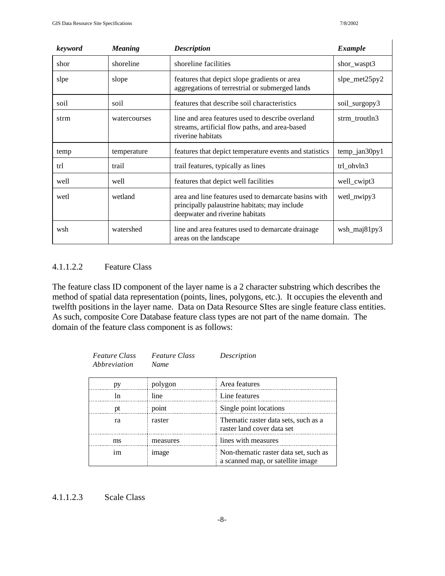$\overline{1}$ 

| keyword | <b>Meaning</b> | <b>Description</b>                                                                                                                       | <b>Example</b>   |
|---------|----------------|------------------------------------------------------------------------------------------------------------------------------------------|------------------|
| shor    | shoreline      | shoreline facilities                                                                                                                     | shor_waspt3      |
| slpe    | slope          | features that depict slope gradients or area<br>aggregations of terrestrial or submerged lands                                           | slpe_met $25py2$ |
| soil    | soil           | features that describe soil characteristics                                                                                              | soil_surgopy3    |
| strm    | watercourses   | line and area features used to describe overland<br>streams, artificial flow paths, and area-based<br>riverine habitats                  | strm_troutln3    |
| temp    | temperature    | features that depict temperature events and statistics                                                                                   | $temp_jan30py1$  |
| trl     | trail          | trail features, typically as lines                                                                                                       | trl ohvln3       |
| well    | well           | features that depict well facilities                                                                                                     | well_cwipt3      |
| wetl    | wetland        | area and line features used to demarcate basins with<br>principally palaustrine habitats; may include<br>deepwater and riverine habitats | wetl_nwipy3      |
| wsh     | watershed      | line and area features used to demarcate drainage<br>areas on the landscape                                                              | wsh_maj81py3     |

#### 4.1.1.2.2 Feature Class

The feature class ID component of the layer name is a 2 character substring which describes the method of spatial data representation (points, lines, polygons, etc.). It occupies the eleventh and twelfth positions in the layer name. Data on Data Resource SItes are single feature class entities. As such, composite Core Database feature class types are not part of the name domain. The domain of the feature class component is as follows:

| <b>Feature Class</b><br>Abbreviation | <b>Feature Class</b><br><b>Name</b> | Description                                                                |
|--------------------------------------|-------------------------------------|----------------------------------------------------------------------------|
| pу                                   | polygon                             | Area features                                                              |
| ln                                   | line                                | Line features                                                              |
| pt                                   | point                               | Single point locations                                                     |
| ra                                   | raster                              | Thematic raster data sets, such as a<br>raster land cover data set         |
| ms                                   | measures                            | lines with measures                                                        |
| im                                   | image                               | Non-thematic raster data set, such as<br>a scanned map, or satellite image |

#### 4.1.1.2.3 Scale Class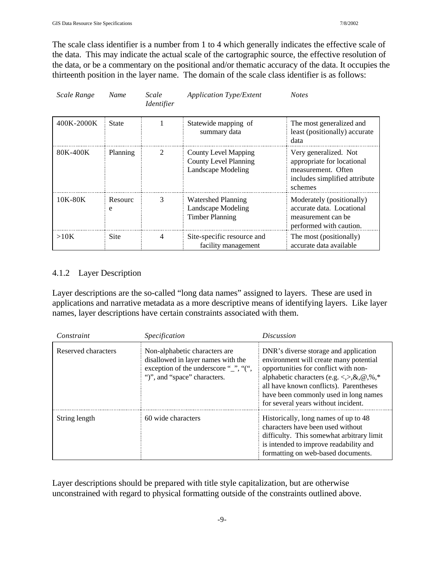The scale class identifier is a number from 1 to 4 which generally indicates the effective scale of the data. This may indicate the actual scale of the cartographic source, the effective resolution of the data, or be a commentary on the positional and/or thematic accuracy of the data. It occupies the thirteenth position in the layer name. The domain of the scale class identifier is as follows:

| Scale Range | Name         | Scale<br><i>Identifier</i> | <b>Application Type/Extent</b>                                                           | <b>Notes</b>                                                                                                          |
|-------------|--------------|----------------------------|------------------------------------------------------------------------------------------|-----------------------------------------------------------------------------------------------------------------------|
| 400K-2000K  | <b>State</b> |                            | Statewide mapping of<br>summary data                                                     | The most generalized and<br>least (positionally) accurate<br>data                                                     |
| 80K-400K    | Planning     | 2                          | <b>County Level Mapping</b><br><b>County Level Planning</b><br><b>Landscape Modeling</b> | Very generalized. Not<br>appropriate for locational<br>measurement. Often<br>includes simplified attribute<br>schemes |
| 10K-80K     | Resourc<br>e | 3                          | <b>Watershed Planning</b><br>Landscape Modeling<br><b>Timber Planning</b>                | Moderately (positionally)<br>accurate data. Locational<br>measurement can be<br>performed with caution.               |
| >10K        | Site         | 4                          | Site-specific resource and<br>facility management                                        | The most (positionally)<br>accurate data available                                                                    |

#### 4.1.2 Layer Description

Layer descriptions are the so-called "long data names" assigned to layers. These are used in applications and narrative metadata as a more descriptive means of identifying layers. Like layer names, layer descriptions have certain constraints associated with them.

| Constraint          | Specification                                                                                                                                | <i>Discussion</i>                                                                                                                                                                                                                                                                            |
|---------------------|----------------------------------------------------------------------------------------------------------------------------------------------|----------------------------------------------------------------------------------------------------------------------------------------------------------------------------------------------------------------------------------------------------------------------------------------------|
| Reserved characters | Non-alphabetic characters are<br>disallowed in layer names with the<br>exception of the underscore "_", "(",<br>")", and "space" characters. | DNR's diverse storage and application<br>environment will create many potential<br>opportunities for conflict with non-<br>alphabetic characters (e.g. <,>,&,@,%,*<br>all have known conflicts). Parentheses<br>have been commonly used in long names<br>for several years without incident. |
| String length       | 60 wide characters                                                                                                                           | Historically, long names of up to 48<br>characters have been used without<br>difficulty. This somewhat arbitrary limit<br>is intended to improve readability and<br>formatting on web-based documents.                                                                                       |

Layer descriptions should be prepared with title style capitalization, but are otherwise unconstrained with regard to physical formatting outside of the constraints outlined above.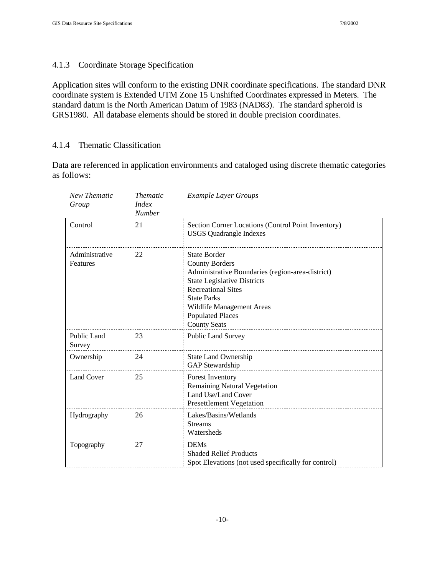#### 4.1.3 Coordinate Storage Specification

Application sites will conform to the existing DNR coordinate specifications. The standard DNR coordinate system is Extended UTM Zone 15 Unshifted Coordinates expressed in Meters. The standard datum is the North American Datum of 1983 (NAD83). The standard spheroid is GRS1980. All database elements should be stored in double precision coordinates.

#### 4.1.4 Thematic Classification

Data are referenced in application environments and cataloged using discrete thematic categories as follows:

| New Thematic<br>Group      | <b>Thematic</b><br><i>Index</i><br><b>Number</b> | <b>Example Layer Groups</b>                                                                                                                                                                                                                                              |
|----------------------------|--------------------------------------------------|--------------------------------------------------------------------------------------------------------------------------------------------------------------------------------------------------------------------------------------------------------------------------|
| Control                    | 21                                               | Section Corner Locations (Control Point Inventory)<br><b>USGS</b> Quadrangle Indexes                                                                                                                                                                                     |
| Administrative<br>Features | 22                                               | <b>State Border</b><br><b>County Borders</b><br>Administrative Boundaries (region-area-district)<br><b>State Legislative Districts</b><br><b>Recreational Sites</b><br><b>State Parks</b><br>Wildlife Management Areas<br><b>Populated Places</b><br><b>County Seats</b> |
| Public Land<br>Survey      | 23                                               | <b>Public Land Survey</b>                                                                                                                                                                                                                                                |
| Ownership                  | 24                                               | <b>State Land Ownership</b><br>GAP Stewardship                                                                                                                                                                                                                           |
| <b>Land Cover</b>          | 25                                               | <b>Forest Inventory</b><br><b>Remaining Natural Vegetation</b><br>Land Use/Land Cover<br><b>Presettlement Vegetation</b>                                                                                                                                                 |
| Hydrography                | 26                                               | Lakes/Basins/Wetlands<br><b>Streams</b><br>Watersheds                                                                                                                                                                                                                    |
| Topography                 | 27                                               | <b>DEMs</b><br><b>Shaded Relief Products</b><br>Spot Elevations (not used specifically for control)                                                                                                                                                                      |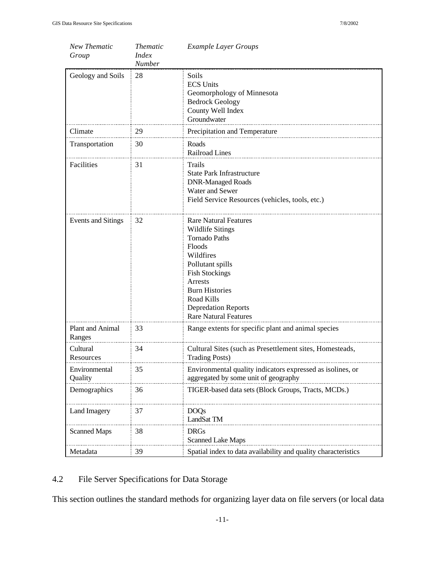| New Thematic<br>Group      | <i>Thematic</i><br><b>Index</b><br>Number | <b>Example Layer Groups</b>                                                                                                                                                                                                                                         |
|----------------------------|-------------------------------------------|---------------------------------------------------------------------------------------------------------------------------------------------------------------------------------------------------------------------------------------------------------------------|
| Geology and Soils          | 28                                        | Soils<br><b>ECS Units</b><br>Geomorphology of Minnesota<br><b>Bedrock Geology</b><br>County Well Index<br>Groundwater                                                                                                                                               |
| Climate                    | 29                                        | Precipitation and Temperature                                                                                                                                                                                                                                       |
| Transportation             | 30                                        | Roads<br>Railroad Lines                                                                                                                                                                                                                                             |
| Facilities                 | 31                                        | Trails<br><b>State Park Infrastructure</b><br><b>DNR-Managed Roads</b><br>Water and Sewer<br>Field Service Resources (vehicles, tools, etc.)                                                                                                                        |
| Events and Sitings         | 32                                        | <b>Rare Natural Features</b><br><b>Wildlife Sitings</b><br><b>Tornado Paths</b><br>Floods<br>Wildfires<br>Pollutant spills<br><b>Fish Stockings</b><br>Arrests<br><b>Burn Histories</b><br>Road Kills<br><b>Depredation Reports</b><br><b>Rare Natural Features</b> |
| Plant and Animal<br>Ranges | 33                                        | Range extents for specific plant and animal species                                                                                                                                                                                                                 |
| Cultural<br>Resources      | 34                                        | Cultural Sites (such as Presettlement sites, Homesteads,<br><b>Trading Posts)</b>                                                                                                                                                                                   |
| Environmental<br>Quality   | 35                                        | Environmental quality indicators expressed as isolines, or<br>aggregated by some unit of geography                                                                                                                                                                  |
| Demographics               | 36                                        | TIGER-based data sets (Block Groups, Tracts, MCDs.)                                                                                                                                                                                                                 |
| Land Imagery               | 37                                        | <b>DOQs</b><br>LandSat TM                                                                                                                                                                                                                                           |
| <b>Scanned Maps</b>        | 38                                        | <b>DRGs</b><br><b>Scanned Lake Maps</b>                                                                                                                                                                                                                             |
| Metadata                   | 39                                        | Spatial index to data availability and quality characteristics                                                                                                                                                                                                      |

## 4.2 File Server Specifications for Data Storage

This section outlines the standard methods for organizing layer data on file servers (or local data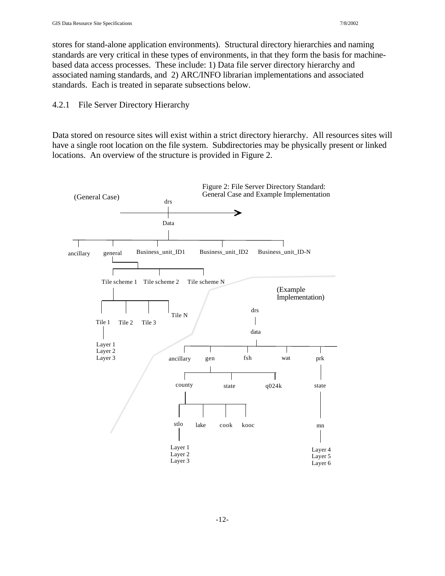stores for stand-alone application environments). Structural directory hierarchies and naming standards are very critical in these types of environments, in that they form the basis for machinebased data access processes. These include: 1) Data file server directory hierarchy and associated naming standards, and 2) ARC/INFO librarian implementations and associated standards. Each is treated in separate subsections below.

4.2.1 File Server Directory Hierarchy

Data stored on resource sites will exist within a strict directory hierarchy. All resources sites will have a single root location on the file system. Subdirectories may be physically present or linked locations. An overview of the structure is provided in Figure 2.

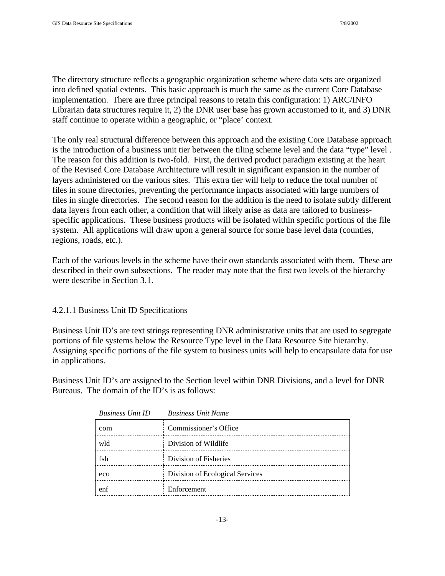The directory structure reflects a geographic organization scheme where data sets are organized into defined spatial extents. This basic approach is much the same as the current Core Database implementation. There are three principal reasons to retain this configuration: 1) ARC/INFO Librarian data structures require it, 2) the DNR user base has grown accustomed to it, and 3) DNR staff continue to operate within a geographic, or "place' context.

The only real structural difference between this approach and the existing Core Database approach is the introduction of a business unit tier between the tiling scheme level and the data "type" level . The reason for this addition is two-fold. First, the derived product paradigm existing at the heart of the Revised Core Database Architecture will result in significant expansion in the number of layers administered on the various sites. This extra tier will help to reduce the total number of files in some directories, preventing the performance impacts associated with large numbers of files in single directories. The second reason for the addition is the need to isolate subtly different data layers from each other, a condition that will likely arise as data are tailored to businessspecific applications. These business products will be isolated within specific portions of the file system. All applications will draw upon a general source for some base level data (counties, regions, roads, etc.).

Each of the various levels in the scheme have their own standards associated with them. These are described in their own subsections. The reader may note that the first two levels of the hierarchy were describe in Section 3.1.

#### 4.2.1.1 Business Unit ID Specifications

Business Unit ID's are text strings representing DNR administrative units that are used to segregate portions of file systems below the Resource Type level in the Data Resource Site hierarchy. Assigning specific portions of the file system to business units will help to encapsulate data for use in applications.

Business Unit ID's are assigned to the Section level within DNR Divisions, and a level for DNR Bureaus. The domain of the ID's is as follows:

| <b>Business Unit ID</b> | <b>Business Unit Name</b>       |
|-------------------------|---------------------------------|
| com                     | Commissioner's Office           |
| wld                     | Division of Wildlife            |
| fsh                     | Division of Fisheries           |
| eco                     | Division of Ecological Services |
| enf                     | Enforcement                     |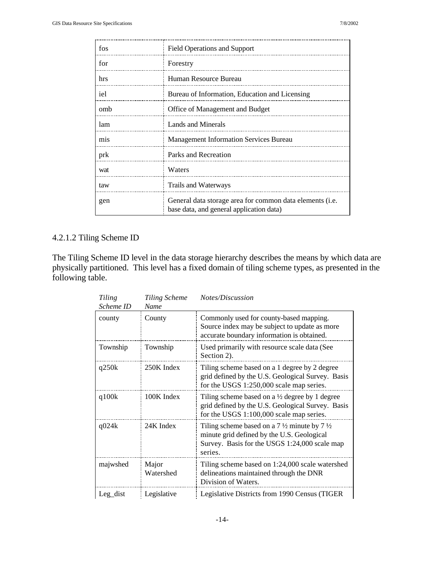| fos | <b>Field Operations and Support</b>                                                                  |
|-----|------------------------------------------------------------------------------------------------------|
| for | Forestry                                                                                             |
| hrs | Human Resource Bureau                                                                                |
| iel | Bureau of Information, Education and Licensing                                                       |
| omb | Office of Management and Budget                                                                      |
| lam | Lands and Minerals                                                                                   |
| mis | <b>Management Information Services Bureau</b>                                                        |
| prk | Parks and Recreation                                                                                 |
| wat | Waters                                                                                               |
| taw | Trails and Waterways                                                                                 |
| gen | General data storage area for common data elements (i.e.<br>base data, and general application data) |

## 4.2.1.2 Tiling Scheme ID

The Tiling Scheme ID level in the data storage hierarchy describes the means by which data are physically partitioned. This level has a fixed domain of tiling scheme types, as presented in the following table.

| Tiling<br>Scheme ID | <b>Tiling Scheme</b><br>Name | Notes/Discussion                                                                                                                                                             |
|---------------------|------------------------------|------------------------------------------------------------------------------------------------------------------------------------------------------------------------------|
| county              | County                       | Commonly used for county-based mapping.<br>Source index may be subject to update as more<br>accurate boundary information is obtained.                                       |
| Township            | Township                     | Used primarily with resource scale data (See<br>Section 2).                                                                                                                  |
| q250k               | 250K Index                   | Tiling scheme based on a 1 degree by 2 degree<br>grid defined by the U.S. Geological Survey. Basis<br>for the USGS 1:250,000 scale map series.                               |
| q100k               | 100K Index                   | Tiling scheme based on a $\frac{1}{2}$ degree by 1 degree<br>grid defined by the U.S. Geological Survey. Basis<br>for the USGS 1:100,000 scale map series.                   |
| q024k               | 24K Index                    | Tiling scheme based on a 7 $\frac{1}{2}$ minute by 7 $\frac{1}{2}$<br>minute grid defined by the U.S. Geological<br>Survey. Basis for the USGS 1:24,000 scale map<br>series. |
| majwshed            | Major<br>Watershed           | Tiling scheme based on 1:24,000 scale watershed<br>delineations maintained through the DNR<br>Division of Waters.                                                            |
| $Leg\_dist$         | Legislative                  | Legislative Districts from 1990 Census (TIGER                                                                                                                                |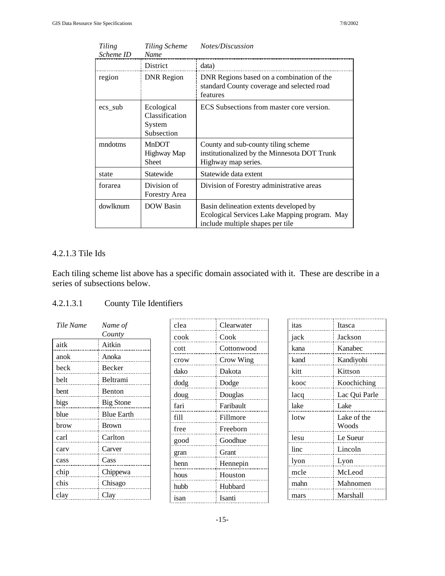| Tiling<br>Scheme ID         | Tiling Scheme<br>Name                                | Notes/Discussion                                                                                                            |  |  |
|-----------------------------|------------------------------------------------------|-----------------------------------------------------------------------------------------------------------------------------|--|--|
|                             | District                                             | data)                                                                                                                       |  |  |
| <b>DNR</b> Region<br>region |                                                      | DNR Regions based on a combination of the<br>standard County coverage and selected road<br>features                         |  |  |
| ecs_sub                     | Ecological<br>Classification<br>System<br>Subsection | ECS Subsections from master core version.                                                                                   |  |  |
| mndotms                     | MnDOT<br>Highway Map<br>Sheet                        | County and sub-county tiling scheme<br>institutionalized by the Minnesota DOT Trunk<br>Highway map series.                  |  |  |
| state                       | Statewide                                            | Statewide data extent                                                                                                       |  |  |
| forarea                     | Division of<br>Forestry Area                         | Division of Forestry administrative areas                                                                                   |  |  |
| dowlknum                    | <b>DOW Basin</b>                                     | Basin delineation extents developed by<br>Ecological Services Lake Mapping program. May<br>include multiple shapes per tile |  |  |

## 4.2.1.3 Tile Ids

Each tiling scheme list above has a specific domain associated with it. These are describe in a series of subsections below.

## 4.2.1.3.1 County Tile Identifiers

| Tile Name | Name of           |
|-----------|-------------------|
|           | County            |
| aitk      | Aitkin            |
| anok      | Anoka             |
| beck      | Becker            |
| belt      | Beltrami          |
| bent      | <b>Benton</b>     |
| bigs      | <b>Big Stone</b>  |
| blue      | <b>Blue Earth</b> |
| brow      | <b>Brown</b>      |
| carl      | Carlton           |
| carv      | Carver            |
| cass      | Cass              |
| chip      | Chippewa          |
| chis      | Chisago           |
| clay      | Clay              |

| clea | Clearwater |
|------|------------|
| cook | Cook       |
| cott | Cottonwood |
| crow | Crow Wing  |
| dako | Dakota     |
| dodg | Dodge      |
| doug | Douglas    |
| fari | Faribault  |
| fill | Fillmore   |
| free | Freeborn   |
| good | Goodhue    |
| gran | Grant      |
| henn | Hennepin   |
| hous | Houston    |
| hubb | Hubbard    |
| isan | Isanti     |

| itas | Itasca        |
|------|---------------|
| jack | Jackson       |
| kana | Kanabec       |
| kand | Kandiyohi     |
| kitt | Kittson       |
| kooc | Koochiching   |
| lacq | Lac Qui Parle |
| lake | Lake          |
| lotw | Lake of the   |
|      | Woods         |
| lesu | Le Sueur      |
| linc | Lincoln       |
| lyon | Lyon          |
| mcle | McLeod        |
| mahn | Mahnomen      |
| mars | Marshall      |
|      |               |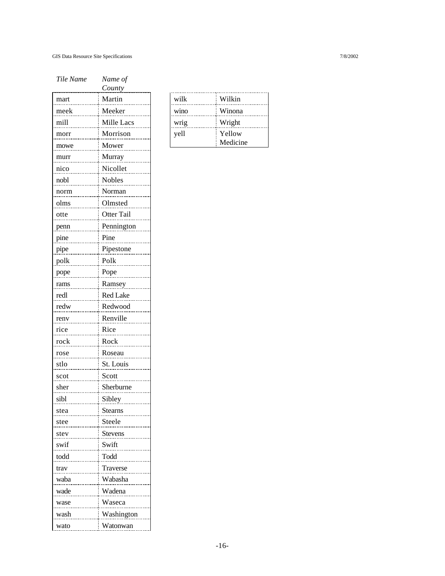| Tile Name | Name of         |
|-----------|-----------------|
|           | County          |
| mart      | Martin          |
| meek      | Meeker          |
| mill      | Mille Lacs      |
| morr      | Morrison        |
| mowe      | Mower           |
| murr      | Murray          |
| nico      | Nicollet        |
| nobl      | Nobles          |
| norm      | Norman          |
| olms      | Olmsted         |
| otte      | Otter Tail      |
| penn      | Pennington      |
| pine      | Pine            |
| pipe      | Pipestone       |
| polk      | Polk            |
| pope      | Pope            |
| rams      | Ramsey          |
| redl      | <b>Red Lake</b> |
| redw      | Redwood         |
| renv      | Renville        |
| rice      | Rice            |
| rock      | Rock            |
| rose      | Roseau          |
| stlo      | St. Louis       |
| scot      | Scott           |
| sher      | Sherburne       |
| sibl      | Sibley          |
| stea      | <b>Stearns</b>  |
| stee      | Steele          |
| stev      | <b>Stevens</b>  |
| swif      | Swift           |
| todd      | Todd            |
| trav      | Traverse        |
| waba      | Wabasha         |
| wade      | Wadena          |
| wase      | Waseca          |
| wash      | Washington      |
| wato      | Watonwan        |

| wilk | Wilkin   |
|------|----------|
| wino | Winona   |
| wrig | Wright   |
| yell | Yellow   |
|      | Medicine |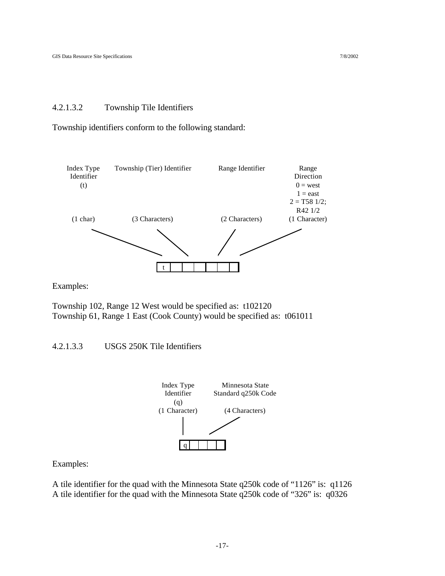#### 4.2.1.3.2 Township Tile Identifiers

Township identifiers conform to the following standard:



Examples:

Township 102, Range 12 West would be specified as: t102120 Township 61, Range 1 East (Cook County) would be specified as: t061011

#### 4.2.1.3.3 USGS 250K Tile Identifiers



Examples:

A tile identifier for the quad with the Minnesota State q250k code of "1126" is: q1126 A tile identifier for the quad with the Minnesota State q250k code of "326" is: q0326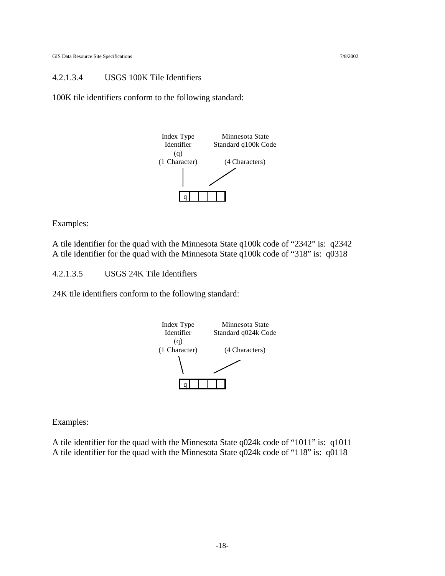#### 4.2.1.3.4 USGS 100K Tile Identifiers

100K tile identifiers conform to the following standard:



Examples:

A tile identifier for the quad with the Minnesota State q100k code of "2342" is: q2342 A tile identifier for the quad with the Minnesota State q100k code of "318" is: q0318

4.2.1.3.5 USGS 24K Tile Identifiers

24K tile identifiers conform to the following standard:



Examples:

A tile identifier for the quad with the Minnesota State q024k code of "1011" is: q1011 A tile identifier for the quad with the Minnesota State q024k code of "118" is: q0118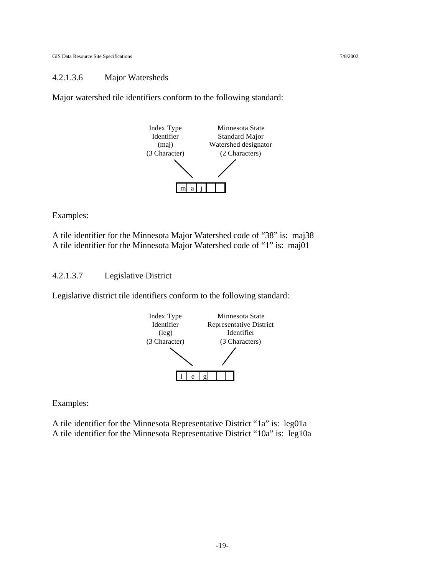#### 4.2.1.3.6 Major Watersheds

Major watershed tile identifiers conform to the following standard:



Examples:

A tile identifier for the Minnesota Major Watershed code of "38" is: maj38 A tile identifier for the Minnesota Major Watershed code of "1" is: maj01

4.2.1.3.7 Legislative District

Legislative district tile identifiers conform to the following standard:



Examples:

A tile identifier for the Minnesota Representative District "1a" is: leg01a A tile identifier for the Minnesota Representative District "10a" is: leg10a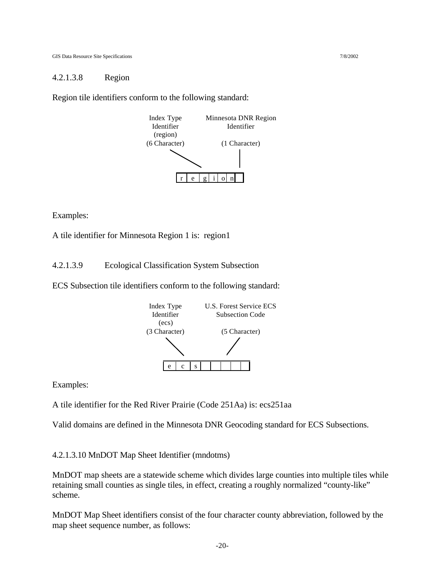#### 4.2.1.3.8 Region

Region tile identifiers conform to the following standard:



Examples:

A tile identifier for Minnesota Region 1 is: region1

4.2.1.3.9 Ecological Classification System Subsection

ECS Subsection tile identifiers conform to the following standard:



Examples:

A tile identifier for the Red River Prairie (Code 251Aa) is: ecs251aa

Valid domains are defined in the Minnesota DNR Geocoding standard for ECS Subsections.

4.2.1.3.10 MnDOT Map Sheet Identifier (mndotms)

MnDOT map sheets are a statewide scheme which divides large counties into multiple tiles while retaining small counties as single tiles, in effect, creating a roughly normalized "county-like" scheme.

MnDOT Map Sheet identifiers consist of the four character county abbreviation, followed by the map sheet sequence number, as follows: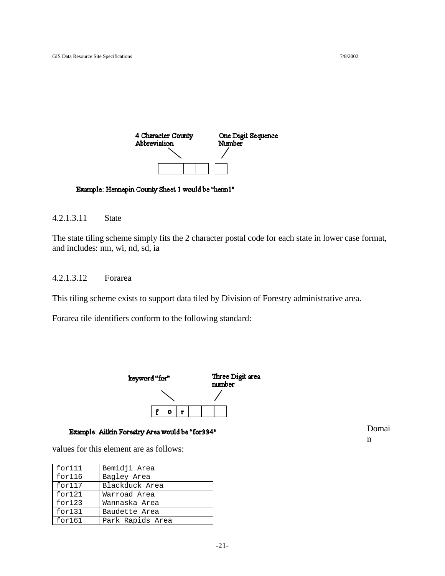

#### Example: Hennepin County Sheet 1 would be "henn1"

#### 4.2.1.3.11 State

The state tiling scheme simply fits the 2 character postal code for each state in lower case format, and includes: mn, wi, nd, sd, ia

#### 4.2.1.3.12 Forarea

This tiling scheme exists to support data tiled by Division of Forestry administrative area.

Forarea tile identifiers conform to the following standard:



#### Example: Aitkin Forestry Area would be "for334"

values for this element are as follows:

| for111 | Bemidji Area     |
|--------|------------------|
| for116 | Bagley Area      |
| for117 | Blackduck Area   |
| for121 | Warroad Area     |
| for123 | Wannaska Area    |
| for131 | Baudette Area    |
| for161 | Park Rapids Area |

Domai n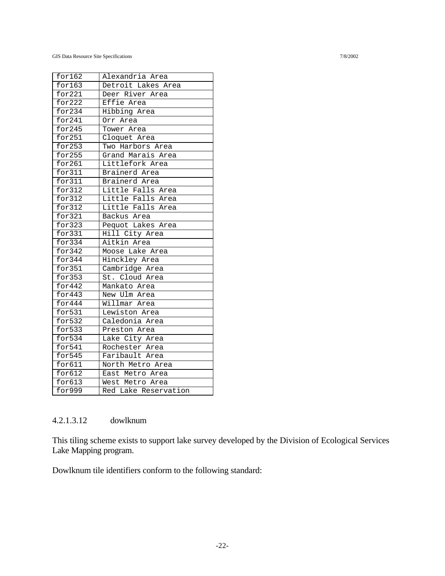GIS Data Resource Site Specifications 7/8/2002

| for 162 | Alexandria Area                  |
|---------|----------------------------------|
| for 163 | Detroit Lakes Area               |
| for221  | Deer River Area                  |
| for222  | Effie Area                       |
| for234  | Hibbing Area                     |
| for 241 | Orr Area                         |
| for 245 | Tower Area                       |
| for251  | Cloquet Area                     |
| for 253 | Two Harbors Area                 |
| for 255 | Grand Marais Area                |
| for261  | Littlefork Area                  |
| for311  | Brainerd Area                    |
| for311  | Brainerd Area                    |
| for312  | Little Falls Area                |
| for312  | Little Falls Area                |
| for 312 | Little Falls Area                |
| for321  | Backus Area                      |
| for 323 | Pequot Lakes Area                |
| for331  | Hill City Area                   |
| for334  | Aitkin Area                      |
| for 342 | Moose Lake Area                  |
| for344  | Hinckley Area                    |
| for351  | Cambridge Area                   |
| for353  | St. Cloud Area                   |
| for 442 | Mankato Area                     |
| for443  | New Ulm Area                     |
| for 444 | Willmar Area                     |
| for531  | Lewiston Area                    |
| for532  | Caledonia Area                   |
| for533  | Preston Area                     |
| for534  | Lake City Area                   |
| for541  | Rochester Area<br>Faribault Area |
| for 545 |                                  |
| for 611 | North Metro Area                 |
| for612  | East Metro Area                  |
| for 613 | West Metro Area                  |
| for999  | Red Lake Reservation             |

### 4.2.1.3.12 dowlknum

This tiling scheme exists to support lake survey developed by the Division of Ecological Services Lake Mapping program.

Dowlknum tile identifiers conform to the following standard: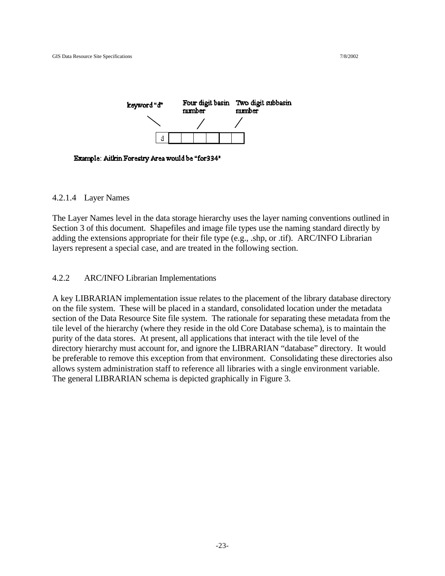

Example: Aitkin Forestry Area would be "for334"

#### 4.2.1.4 Layer Names

The Layer Names level in the data storage hierarchy uses the layer naming conventions outlined in Section 3 of this document. Shapefiles and image file types use the naming standard directly by adding the extensions appropriate for their file type (e.g., .shp, or .tif). ARC/INFO Librarian layers represent a special case, and are treated in the following section.

#### 4.2.2 ARC/INFO Librarian Implementations

A key LIBRARIAN implementation issue relates to the placement of the library database directory on the file system. These will be placed in a standard, consolidated location under the metadata section of the Data Resource Site file system. The rationale for separating these metadata from the tile level of the hierarchy (where they reside in the old Core Database schema), is to maintain the purity of the data stores. At present, all applications that interact with the tile level of the directory hierarchy must account for, and ignore the LIBRARIAN "database" directory. It would be preferable to remove this exception from that environment. Consolidating these directories also allows system administration staff to reference all libraries with a single environment variable. The general LIBRARIAN schema is depicted graphically in Figure 3.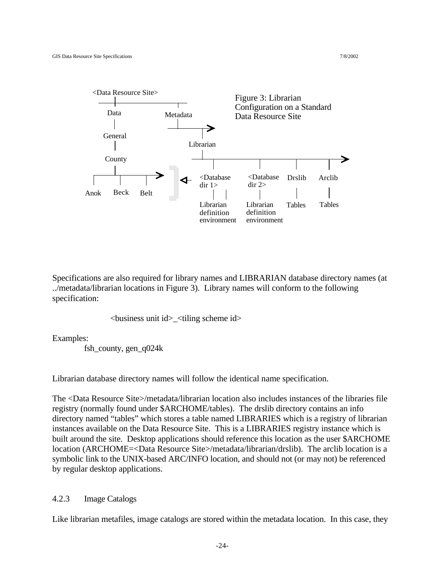

Specifications are also required for library names and LIBRARIAN database directory names (at ../metadata/librarian locations in Figure 3). Library names will conform to the following specification:

<business unit id>\_<tiling scheme id>

Examples:

fsh\_county, gen\_q024 $k$ 

Librarian database directory names will follow the identical name specification.

The <Data Resource Site>/metadata/librarian location also includes instances of the libraries file registry (normally found under \$ARCHOME/tables). The drslib directory contains an info directory named "tables" which stores a table named LIBRARIES which is a registry of librarian instances available on the Data Resource Site. This is a LIBRARIES registry instance which is built around the site. Desktop applications should reference this location as the user \$ARCHOME location (ARCHOME=<Data Resource Site>/metadata/librarian/drslib). The arclib location is a symbolic link to the UNIX-based ARC/INFO location, and should not (or may not) be referenced by regular desktop applications.

#### 4.2.3 Image Catalogs

Like librarian metafiles, image catalogs are stored within the metadata location. In this case, they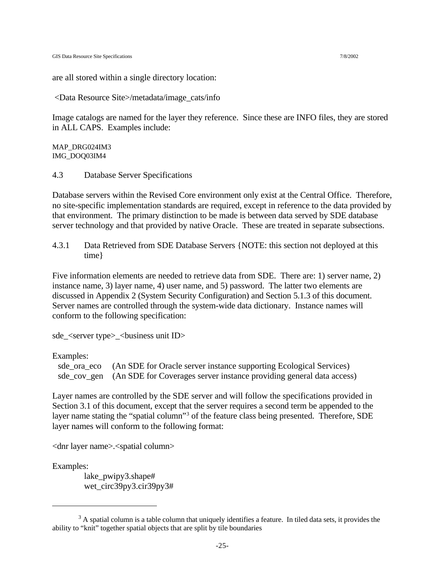are all stored within a single directory location:

<Data Resource Site>/metadata/image\_cats/info

Image catalogs are named for the layer they reference. Since these are INFO files, they are stored in ALL CAPS. Examples include:

MAP\_DRG024IM3 IMG\_DOQ03IM4

4.3 Database Server Specifications

Database servers within the Revised Core environment only exist at the Central Office. Therefore, no site-specific implementation standards are required, except in reference to the data provided by that environment. The primary distinction to be made is between data served by SDE database server technology and that provided by native Oracle. These are treated in separate subsections.

4.3.1 Data Retrieved from SDE Database Servers {NOTE: this section not deployed at this time}

Five information elements are needed to retrieve data from SDE. There are: 1) server name, 2) instance name, 3) layer name, 4) user name, and 5) password. The latter two elements are discussed in Appendix 2 (System Security Configuration) and Section 5.1.3 of this document. Server names are controlled through the system-wide data dictionary. Instance names will conform to the following specification:

sde\_<server type>\_<br/>business unit ID>

Examples:

sde\_ora\_eco (An SDE for Oracle server instance supporting Ecological Services) sde\_cov\_gen (An SDE for Coverages server instance providing general data access)

Layer names are controlled by the SDE server and will follow the specifications provided in Section 3.1 of this document, except that the server requires a second term be appended to the layer name stating the "spatial column"<sup>3</sup> of the feature class being presented. Therefore, SDE layer names will conform to the following format:

<dnr layer name>.<spatial column>

Examples:

lake\_pwipy3.shape# wet\_circ39py3.cir39py3#

 $3$  A spatial column is a table column that uniquely identifies a feature. In tiled data sets, it provides the ability to "knit" together spatial objects that are split by tile boundaries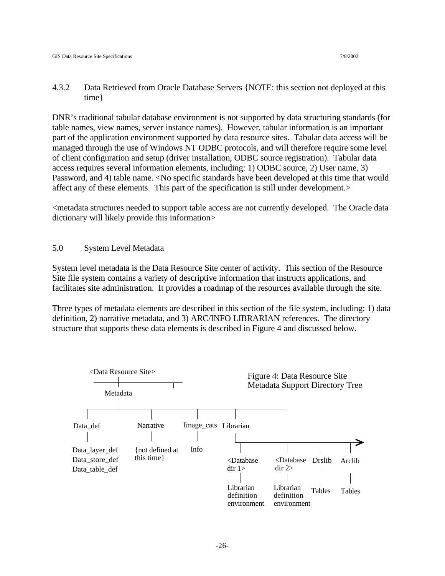4.3.2 Data Retrieved from Oracle Database Servers {NOTE: this section not deployed at this time}

DNR's traditional tabular database environment is not supported by data structuring standards (for table names, view names, server instance names). However, tabular information is an important part of the application environment supported by data resource sites. Tabular data access will be managed through the use of Windows NT ODBC protocols, and will therefore require some level of client configuration and setup (driver installation, ODBC source registration). Tabular data access requires several information elements, including: 1) ODBC source, 2) User name, 3) Password, and 4) table name. <No specific standards have been developed at this time that would affect any of these elements. This part of the specification is still under development.>

<metadata structures needed to support table access are not currently developed. The Oracle data dictionary will likely provide this information>

#### 5.0 System Level Metadata

System level metadata is the Data Resource Site center of activity. This section of the Resource Site file system contains a variety of descriptive information that instructs applications, and facilitates site administration. It provides a roadmap of the resources available through the site.

Three types of metadata elements are described in this section of the file system, including: 1) data definition, 2) narrative metadata, and 3) ARC/INFO LIBRARIAN references. The directory structure that supports these data elements is described in Figure 4 and discussed below.

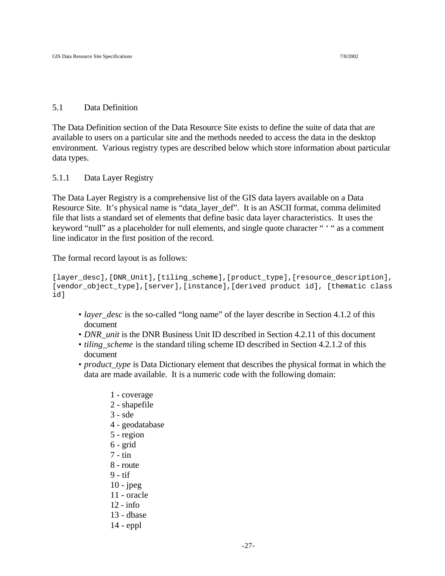#### 5.1 Data Definition

The Data Definition section of the Data Resource Site exists to define the suite of data that are available to users on a particular site and the methods needed to access the data in the desktop environment. Various registry types are described below which store information about particular data types.

5.1.1 Data Layer Registry

The Data Layer Registry is a comprehensive list of the GIS data layers available on a Data Resource Site. It's physical name is "data\_layer\_def". It is an ASCII format, comma delimited file that lists a standard set of elements that define basic data layer characteristics. It uses the keyword "null" as a placeholder for null elements, and single quote character " ' " as a comment line indicator in the first position of the record.

The formal record layout is as follows:

```
[layer desc],[DNR_Unit],[tiling_scheme],[product_type],[resource_description],
[vendor_object_type],[server],[instance],[derived product id], [thematic class
id]
```
- *layer\_desc* is the so-called "long name" of the layer describe in Section 4.1.2 of this document
- *DNR unit* is the DNR Business Unit ID described in Section 4.2.11 of this document
- *tiling* scheme is the standard tiling scheme ID described in Section 4.2.1.2 of this document
- *product\_type* is Data Dictionary element that describes the physical format in which the data are made available. It is a numeric code with the following domain:
	- 1 coverage
	- 2 shapefile
	- 3 sde
	- 4 geodatabase
	- 5 region
	- 6 grid
	- 7 tin
	- 8 route
	- 9 tif
	- $10 i$ peg
	- 11 oracle
	- 12 info
	- 13 dbase
	-
	- 14 eppl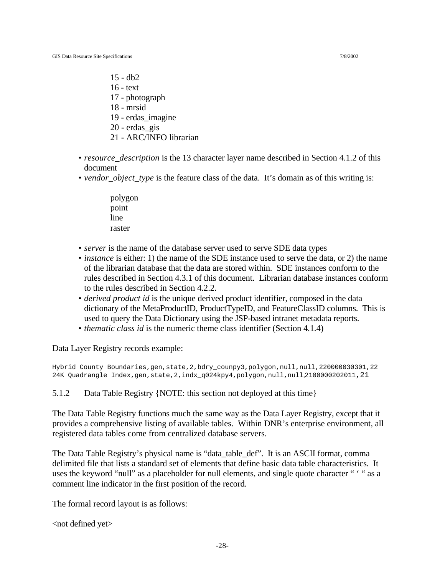- 15 db2
- 16 text
- 17 photograph
- 18 mrsid
- 19 erdas\_imagine
- 20 erdas\_gis
- 21 ARC/INFO librarian
- *resource* description is the 13 character layer name described in Section 4.1.2 of this document
- *vendor\_object\_type* is the feature class of the data. It's domain as of this writing is:
	- polygon point line raster
- *server* is the name of the database server used to serve SDE data types
- *instance* is either: 1) the name of the SDE instance used to serve the data, or 2) the name of the librarian database that the data are stored within. SDE instances conform to the rules described in Section 4.3.1 of this document. Librarian database instances conform to the rules described in Section 4.2.2.
- *derived product id* is the unique derived product identifier, composed in the data dictionary of the MetaProductID, ProductTypeID, and FeatureClassID columns. This is used to query the Data Dictionary using the JSP-based intranet metadata reports.
- *thematic class id* is the numeric theme class identifier (Section 4.1.4)

Data Layer Registry records example:

Hybrid County Boundaries,gen,state,2,bdry\_counpy3,polygon,null,null,220000030301,22 24K Quadrangle Index,gen,state,2,indx\_q024kpy4,polygon,null,null,2100000202011,21

5.1.2 Data Table Registry {NOTE: this section not deployed at this time}

The Data Table Registry functions much the same way as the Data Layer Registry, except that it provides a comprehensive listing of available tables. Within DNR's enterprise environment, all registered data tables come from centralized database servers.

The Data Table Registry's physical name is "data\_table\_def". It is an ASCII format, comma delimited file that lists a standard set of elements that define basic data table characteristics. It uses the keyword "null" as a placeholder for null elements, and single quote character " ' " as a comment line indicator in the first position of the record.

The formal record layout is as follows:

 $\lt$ not defined yet $>$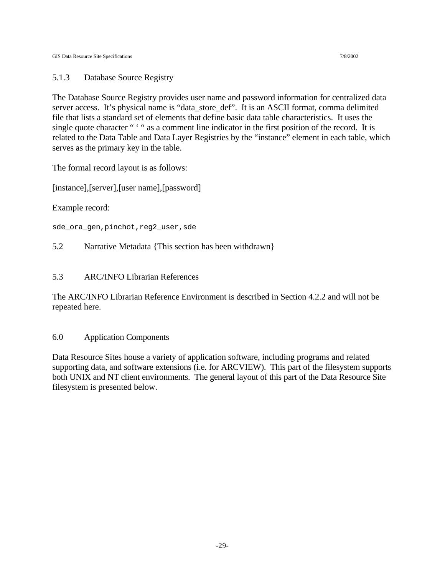#### 5.1.3 Database Source Registry

The Database Source Registry provides user name and password information for centralized data server access. It's physical name is "data\_store\_def". It is an ASCII format, comma delimited file that lists a standard set of elements that define basic data table characteristics. It uses the single quote character " " " as a comment line indicator in the first position of the record. It is related to the Data Table and Data Layer Registries by the "instance" element in each table, which serves as the primary key in the table.

The formal record layout is as follows:

[instance],[server],[user name],[password]

Example record:

sde\_ora\_gen,pinchot,reg2\_user,sde

5.2 Narrative Metadata {This section has been withdrawn}

#### 5.3 ARC/INFO Librarian References

The ARC/INFO Librarian Reference Environment is described in Section 4.2.2 and will not be repeated here.

#### 6.0 Application Components

Data Resource Sites house a variety of application software, including programs and related supporting data, and software extensions (i.e. for ARCVIEW). This part of the filesystem supports both UNIX and NT client environments. The general layout of this part of the Data Resource Site filesystem is presented below.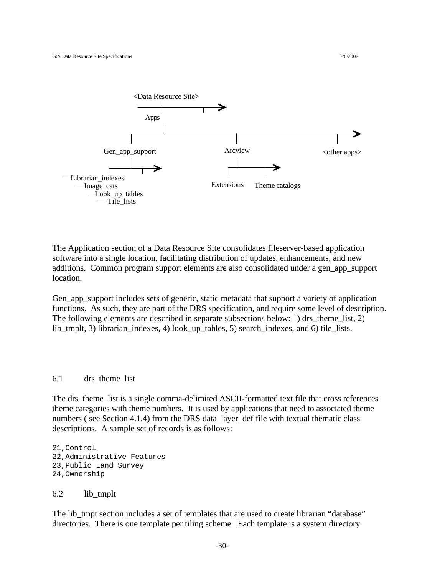

The Application section of a Data Resource Site consolidates fileserver-based application software into a single location, facilitating distribution of updates, enhancements, and new additions. Common program support elements are also consolidated under a gen\_app\_support location.

Gen\_app\_support includes sets of generic, static metadata that support a variety of application functions. As such, they are part of the DRS specification, and require some level of description. The following elements are described in separate subsections below: 1) drs theme list, 2) lib\_tmplt, 3) librarian\_indexes, 4) look\_up\_tables, 5) search\_indexes, and 6) tile\_lists.

#### 6.1 drs theme list

The drs theme list is a single comma-delimited ASCII-formatted text file that cross references theme categories with theme numbers. It is used by applications that need to associated theme numbers ( see Section 4.1.4) from the DRS data\_layer\_def file with textual thematic class descriptions. A sample set of records is as follows:

21,Control 22,Administrative Features 23,Public Land Survey 24,Ownership

#### 6.2 lib\_tmplt

The lib tmpt section includes a set of templates that are used to create librarian "database" directories. There is one template per tiling scheme. Each template is a system directory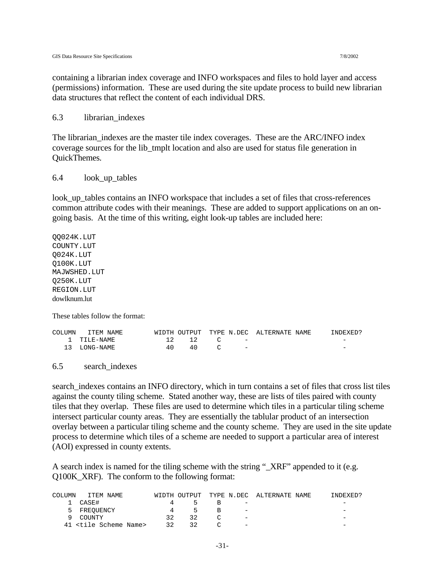containing a librarian index coverage and INFO workspaces and files to hold layer and access (permissions) information. These are used during the site update process to build new librarian data structures that reflect the content of each individual DRS.

#### 6.3 librarian\_indexes

The librarian\_indexes are the master tile index coverages. These are the ARC/INFO index coverage sources for the lib\_tmplt location and also are used for status file generation in QuickThemes.

#### 6.4 look\_up\_tables

look up tables contains an INFO workspace that includes a set of files that cross-references common attribute codes with their meanings. These are added to support applications on an ongoing basis. At the time of this writing, eight look-up tables are included here:

QQ024K.LUT COUNTY.LUT Q024K.LUT Q100K.LUT MAJWSHED.LUT Q250K.LUT REGION.LUT dowlknum.lut

These tables follow the format:

| COLUMN ITEM NAME |     |       |                               | WIDTH OUTPUT TYPE N.DEC ALTERNATE NAME | INDEXED?                 |
|------------------|-----|-------|-------------------------------|----------------------------------------|--------------------------|
| 1 TTIE-NAME      |     | 12 12 | and the state of the state of |                                        | $\overline{\phantom{a}}$ |
| 13 LONG-NAME     | 4 N | 40.   | $\sim$ $-$                    |                                        | $\overline{\phantom{0}}$ |

6.5 search\_indexes

search\_indexes contains an INFO directory, which in turn contains a set of files that cross list tiles against the county tiling scheme. Stated another way, these are lists of tiles paired with county tiles that they overlap. These files are used to determine which tiles in a particular tiling scheme intersect particular county areas. They are essentially the tablular product of an intersection overlay between a particular tiling scheme and the county scheme. They are used in the site update process to determine which tiles of a scheme are needed to support a particular area of interest (AOI) expressed in county extents.

A search index is named for the tiling scheme with the string "\_XRF" appended to it (e.g. Q100K\_XRF). The conform to the following format:

| <b>COLUMN</b> | ITEM NAME                          |    |               |   |                          | WIDTH OUTPUT TYPE N.DEC ALTERNATE NAME | INDEXED?                 |
|---------------|------------------------------------|----|---------------|---|--------------------------|----------------------------------------|--------------------------|
|               | CASE#                              |    | $\mathcal{L}$ |   | $\overline{\phantom{a}}$ |                                        |                          |
|               | 5 FREOUENCY                        |    | $\mathcal{L}$ | R | $\qquad \qquad -$        |                                        |                          |
|               | 9 COUNTY                           | 32 | 32            |   | $\overline{\phantom{m}}$ |                                        | $\overline{\phantom{0}}$ |
|               | 41 <tile name="" scheme=""></tile> | 32 | 32            |   | $\qquad \qquad -$        |                                        | -                        |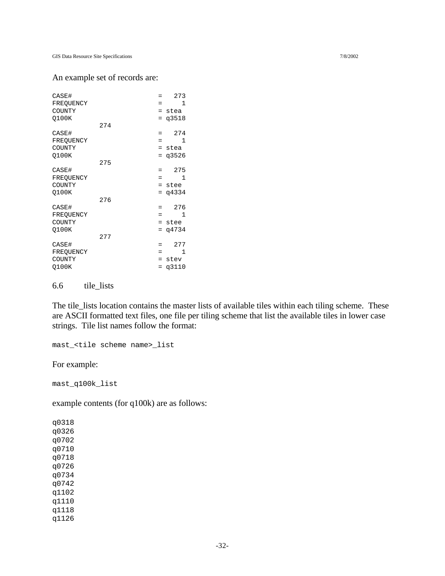#### An example set of records are:

| CASE#     |     | $=$ | 273   |
|-----------|-----|-----|-------|
| FREQUENCY |     | =   | 1     |
| COUNTY    |     | $=$ | stea  |
| Q100K     |     | $=$ | q3518 |
|           | 274 |     |       |
| CASE#     |     | =   | 274   |
| FREQUENCY |     | =   | 1     |
| COUNTY    |     | $=$ | stea  |
| 0100K     |     | $=$ | q3526 |
|           | 275 |     |       |
| CASE#     |     | $=$ | 275   |
| FREQUENCY |     | =   | 1     |
| COUNTY    |     | $=$ | stee  |
| Q100K     |     | $=$ | q4334 |
|           | 276 |     |       |
| CASE#     |     | =   | 276   |
| FREQUENCY |     | =   | 1     |
| COUNTY    |     | $=$ | stee  |
| Q100K     |     | $=$ | q4734 |
|           | 277 |     |       |
| CASE#     |     | =   | 277   |
| FREQUENCY |     | =   | 1     |
| COUNTY    |     | $=$ | stev  |
| Q100K     |     | =   | q3110 |
|           |     |     |       |

6.6 tile\_lists

The tile\_lists location contains the master lists of available tiles within each tiling scheme. These are ASCII formatted text files, one file per tiling scheme that list the available tiles in lower case strings. Tile list names follow the format:

mast\_<tile scheme name>\_list

For example:

mast\_q100k\_list

example contents (for q100k) are as follows:

q0318 q0326 q0702 q0710 q0718 q0726 q0734 q0742 q1102 q1110 q1118 q1126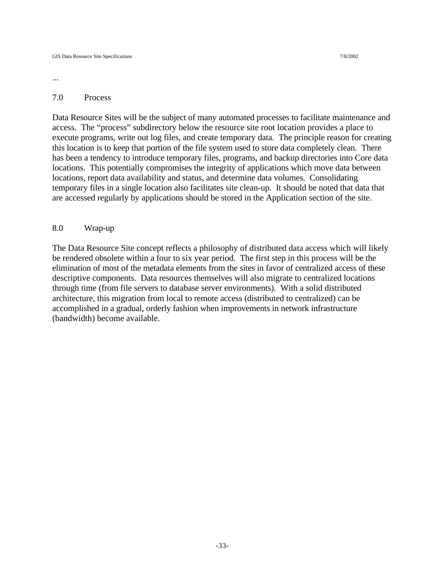...

#### 7.0 Process

Data Resource Sites will be the subject of many automated processes to facilitate maintenance and access. The "process" subdirectory below the resource site root location provides a place to execute programs, write out log files, and create temporary data. The principle reason for creating this location is to keep that portion of the file system used to store data completely clean. There has been a tendency to introduce temporary files, programs, and backup directories into Core data locations. This potentially compromises the integrity of applications which move data between locations, report data availability and status, and determine data volumes. Consolidating temporary files in a single location also facilitates site clean-up. It should be noted that data that are accessed regularly by applications should be stored in the Application section of the site.

#### 8.0 Wrap-up

The Data Resource Site concept reflects a philosophy of distributed data access which will likely be rendered obsolete within a four to six year period. The first step in this process will be the elimination of most of the metadata elements from the sites in favor of centralized access of these descriptive components. Data resources themselves will also migrate to centralized locations through time (from file servers to database server environments). With a solid distributed architecture, this migration from local to remote access (distributed to centralized) can be accomplished in a gradual, orderly fashion when improvements in network infrastructure (bandwidth) become available.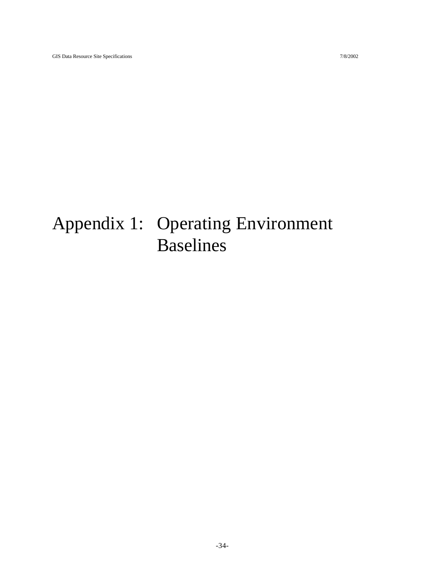# Appendix 1: Operating Environment Baselines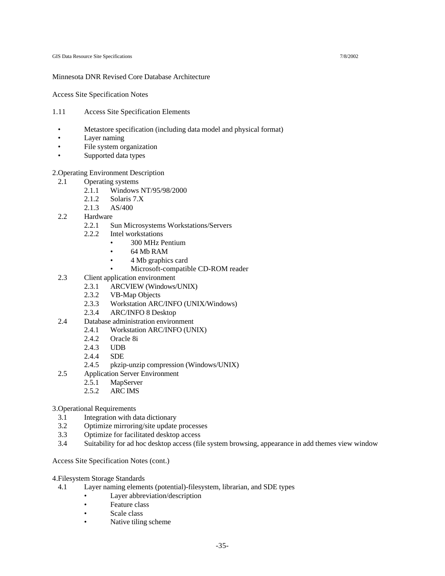#### Minnesota DNR Revised Core Database Architecture

Access Site Specification Notes

- 1.11 Access Site Specification Elements
	- Metastore specification (including data model and physical format)
	- Layer naming
	- File system organization
	- Supported data types

#### 2.Operating Environment Description

- 2.1 Operating systems
	- 2.1.1 Windows NT/95/98/2000
		- 2.1.2 Solaris 7.X
		- 2.1.3 AS/400
- 2.2 Hardware
	- 2.2.1 Sun Microsystems Workstations/Servers
	- 2.2.2 Intel workstations
		- 300 MHz Pentium
		- 64 Mb RAM
		- 4 Mb graphics card
		- Microsoft-compatible CD-ROM reader
- 2.3 Client application environment
	- 2.3.1 ARCVIEW (Windows/UNIX)
	- 2.3.2 VB-Map Objects
	- 2.3.3 Workstation ARC/INFO (UNIX/Windows)
	- 2.3.4 ARC/INFO 8 Desktop
- 2.4 Database administration environment
	- 2.4.1 Workstation ARC/INFO (UNIX)
		- 2.4.2 Oracle 8i
		- 2.4.3 UDB
		- 2.4.4 SDE
	- 2.4.5 pkzip-unzip compression (Windows/UNIX)
- 2.5 Application Server Environment
	- 2.5.1 MapServer
	- 2.5.2 ARC IMS

#### 3.Operational Requirements

- 3.1 Integration with data dictionary
- 3.2 Optimize mirroring/site update processes
- 3.3 Optimize for facilitated desktop access
- 3.4 Suitability for ad hoc desktop access (file system browsing, appearance in add themes view window

#### Access Site Specification Notes (cont.)

- 4.Filesystem Storage Standards
	- 4.1 Layer naming elements (potential)-filesystem, librarian, and SDE types
		- Layer abbreviation/description
		- Feature class
		- Scale class
		- Native tiling scheme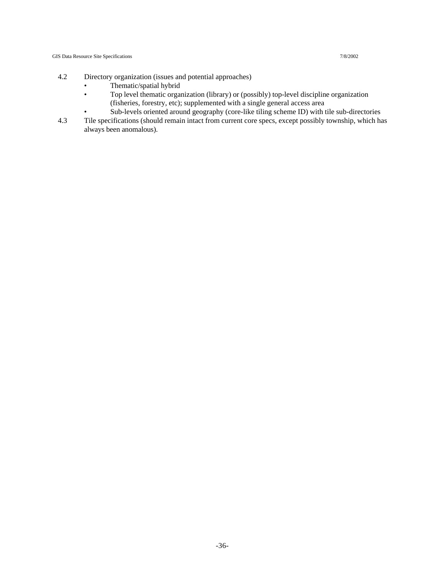- 4.2 Directory organization (issues and potential approaches)
	- Thematic/spatial hybrid
	- Top level thematic organization (library) or (possibly) top-level discipline organization (fisheries, forestry, etc); supplemented with a single general access area
	- Sub-levels oriented around geography (core-like tiling scheme ID) with tile sub-directories
- 4.3 Tile specifications (should remain intact from current core specs, except possibly township, which has always been anomalous).